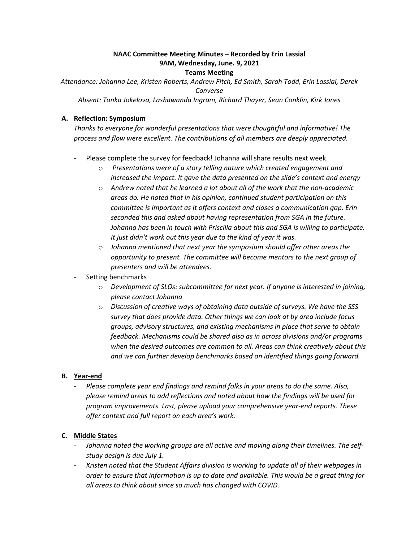# **NAAC Committee Meeting Minutes – Recorded by Erin Lassial 9AM, Wednesday, June. 9, 2021**

#### **Teams Meeting**

 *Attendance: Johanna Lee, Kristen Roberts, Andrew Fitch, Ed Smith, Sarah Todd, Erin Lassial, Derek Converse* 

*Absent: Tonka Jokelova, Lashawanda Ingram, Richard Thayer, Sean Conklin, Kirk Jones* 

#### **A. Reflection: Symposium**

 *Thanks to everyone for wonderful presentations that were thoughtful and informative! The process and flow were excellent. The contributions of all members are deeply appreciated.* 

- Please complete the survey for feedback! Johanna will share results next week.
	- *increased the impact. It gave the data presented on the slide's context and energy*  o *Presentations were of a story telling nature which created engagement and*
	- $\circ$  Andrew noted that he learned a lot about all of the work that the non-academic  *areas do. He noted that in his opinion, continued student participation on this It just didn't work out this year due to the kind of year it was. committee is important as it offers context and closes a communication gap. Erin seconded this and asked about having representation from SGA in the future. Johanna has been in touch with Priscilla about this and SGA is willing to participate.*
	- *opportunity to present. The committee will become mentors to the next group of*  o *Johanna mentioned that next year the symposium should offer other areas the presenters and will be attendees.*

#### Setting benchmarks

- o *Development of SLOs: subcommittee for next year. If anyone is interested in joining, please contact Johanna*
- o *Discussion of creative ways of obtaining data outside of surveys. We have the SSS survey that does provide data. Other things we can look at by area include focus groups, advisory structures, and existing mechanisms in place that serve to obtain*  when the desired outcomes are common to all. Areas can think creatively about this *feedback. Mechanisms could be shared also as in across divisions and/or programs and we can further develop benchmarks based on identified things going forward.*

#### **B.** Year-end

 - *Please complete year end findings and remind folks in your areas to do the same. Also, please remind areas to add reflections and noted about how the findings will be used for program improvements. Last, please upload your comprehensive year-end reports. These offer context and full report on each area's work.* 

#### **C. Middle States**

- *study design is due July 1.*  - *Johanna noted the working groups are all active and moving along their timelines. The self-*
- *order to ensure that information is up to date and available. This would be a great thing for all areas to think about since so much has changed with COVID.* - *Kristen noted that the Student Affairs division is working to update all of their webpages in*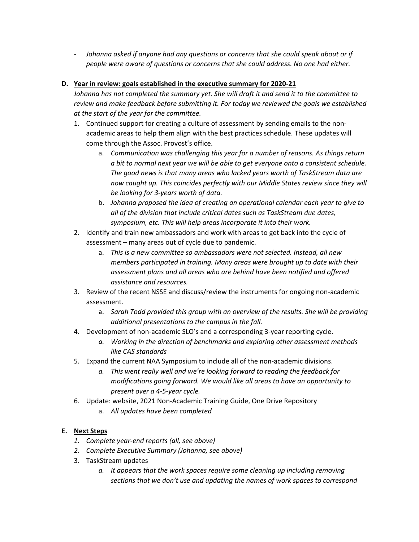- Johanna asked if anyone had any questions or concerns that she could speak about or if  *people were aware of questions or concerns that she could address. No one had either.* 

### **D. Year in review: goals established in the executive summary for 2020-21**

*Johanna has not completed the summary yet. She will draft it and send it to the committee to review and make feedback before submitting it. For today we reviewed the goals we established at the start of the year for the committee.* 

- 1. Continued support for creating a culture of assessment by sending emails to the nonacademic areas to help them align with the best practices schedule. These updates will come through the Assoc. Provost's office.
	- *The good news is that many areas who lacked years worth of TaskStream data are now caught up. This coincides perfectly with our Middle States review since they will*  a. *Communication was challenging this year for a number of reasons. As things return a bit to normal next year we will be able to get everyone onto a consistent schedule. be looking for 3-years worth of data.*
	- *all of the division that include critical dates such as TaskStream due dates,*  b. *Johanna proposed the idea of creating an operational calendar each year to give to symposium, etc. This will help areas incorporate it into their work.*
- 2. Identify and train new ambassadors and work with areas to get back into the cycle of assessment – many areas out of cycle due to pandemic.
	- a. *This is a new committee so ambassadors were not selected. Instead, all new members participated in training. Many areas were brought up to date with their assessment plans and all areas who are behind have been notified and offered assistance and resources.*
- 3. Review of the recent NSSE and discuss/review the instruments for ongoing non-academic assessment.
	- a. *Sarah Todd provided this group with an overview of the results. She will be providing additional presentations to the campus in the fall.*
- 4. Development of non-academic SLO's and a corresponding 3-year reporting cycle.
	- *a. Working in the direction of benchmarks and exploring other assessment methods like CAS standards*
- 5. Expand the current NAA Symposium to include all of the non-academic divisions.
	- *a. This went really well and we're looking forward to reading the feedback for modifications going forward. We would like all areas to have an opportunity to present over a 4-5-year cycle.*
- 6. Update: website, 2021 Non-Academic Training Guide, One Drive Repository
	- a. *All updates have been completed*

## **E. Next Steps**

- *1. Complete year-end reports (all, see above)*
- *2. Complete Executive Summary (Johanna, see above)*
- 3. TaskStream updates
	- a. It appears that the work spaces require some cleaning up including removing  *sections that we don't use and updating the names of work spaces to correspond*